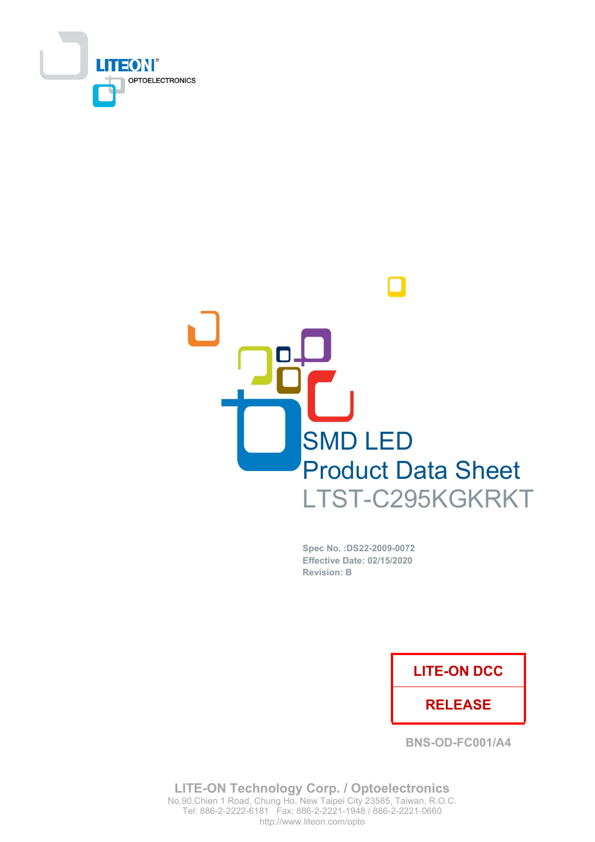



Spec No. : DS22-2009-0072 Effective Date: 02/15/2020 **Revision: B** 

## **LITE-ON DCC**

### **RELEASE**

**BNS-OD-FC001/A4** 

**LITE-ON Technology Corp. / Optoelectronics** No.90, Chien 1 Road, Chung Ho, New Taipei City 23585, Taiwan, R.O.C. Tel: 886-2-2222-6181 Fax: 886-2-2221-1948 / 886-2-2221-0660 http://www.liteon.com/opto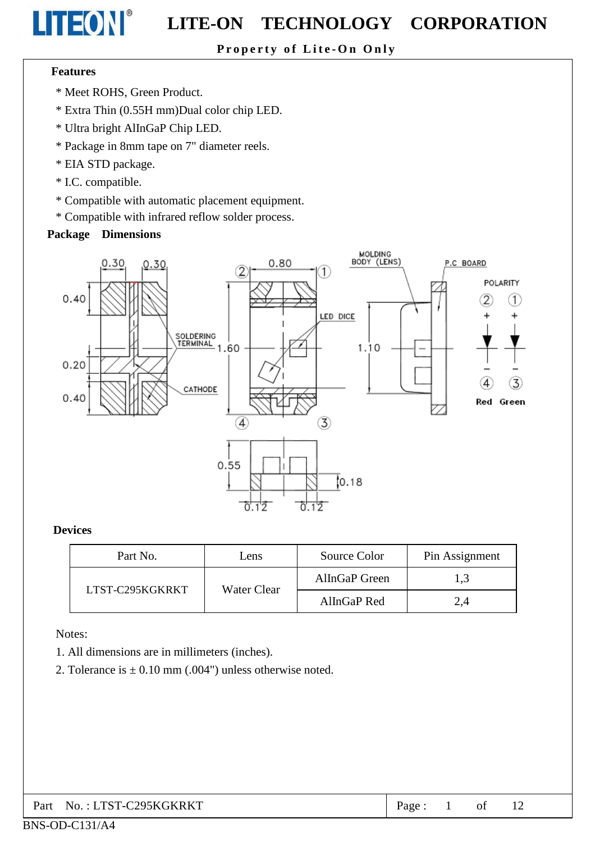#### Property of Lite-On Only

#### **Features**

LITEON®

- \* Meet ROHS, Green Product.
- \* Extra Thin (0.55H mm)Dual color chip LED.
- \* Ultra bright AlInGaP Chip LED.
- \* Package in 8mm tape on 7" diameter reels.
- \* EIA STD package.
- \* I.C. compatible.
- \* Compatible with automatic placement equipment.
- \* Compatible with infrared reflow solder process.

#### **Package Dimensions**



#### **Devices**

| Part No.        | Lens        | Source Color  | Pin Assignment |
|-----------------|-------------|---------------|----------------|
| LTST-C295KGKRKT | Water Clear | AllnGaP Green | 1,3            |
|                 |             | AllnGaP Red   | 2,4            |

#### Notes:

- 1. All dimensions are in millimeters (inches).
- 2. Tolerance is  $\pm$  0.10 mm (.004") unless otherwise noted.

| Part No.: LTST-C295KGKRKT | Page: 1 |  | of |  |  |
|---------------------------|---------|--|----|--|--|
|---------------------------|---------|--|----|--|--|

#### BNS-OD-C131/A4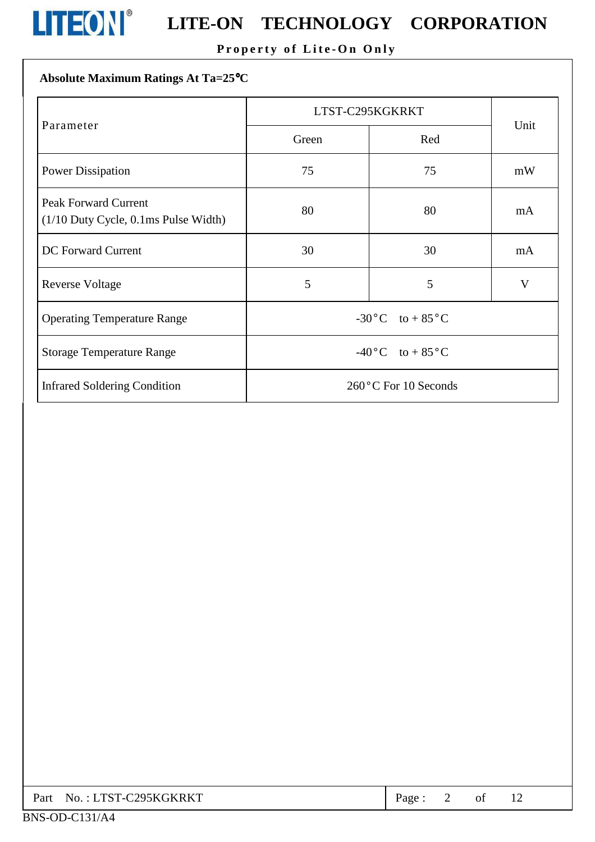

# **LITEON**<sup>®</sup> LITE-ON TECHNOLOGY CORPORATION

### Property of Lite-On Only

## Absolute Maximum Ratings At Ta=25°C

|                                                                          | LTST-C295KGKRKT                  |                      |      |
|--------------------------------------------------------------------------|----------------------------------|----------------------|------|
| Parameter                                                                | Green                            | Red                  | Unit |
| <b>Power Dissipation</b>                                                 | 75                               | 75                   | mW   |
| <b>Peak Forward Current</b><br>$(1/10$ Duty Cycle, $0.1$ ms Pulse Width) | 80                               | 80                   | mA   |
| <b>DC</b> Forward Current                                                | 30                               | 30                   | mA   |
| <b>Reverse Voltage</b>                                                   | 5                                | 5                    | V    |
| <b>Operating Temperature Range</b>                                       | $-30$ °C to + 85°C               |                      |      |
| <b>Storage Temperature Range</b>                                         | $-40\degree C$ to $+85\degree C$ |                      |      |
| <b>Infrared Soldering Condition</b>                                      |                                  | 260°C For 10 Seconds |      |

|  | Part No.: LTST-C295KGKRKT | $Page: 2$ of |  |  |  |  |
|--|---------------------------|--------------|--|--|--|--|
|--|---------------------------|--------------|--|--|--|--|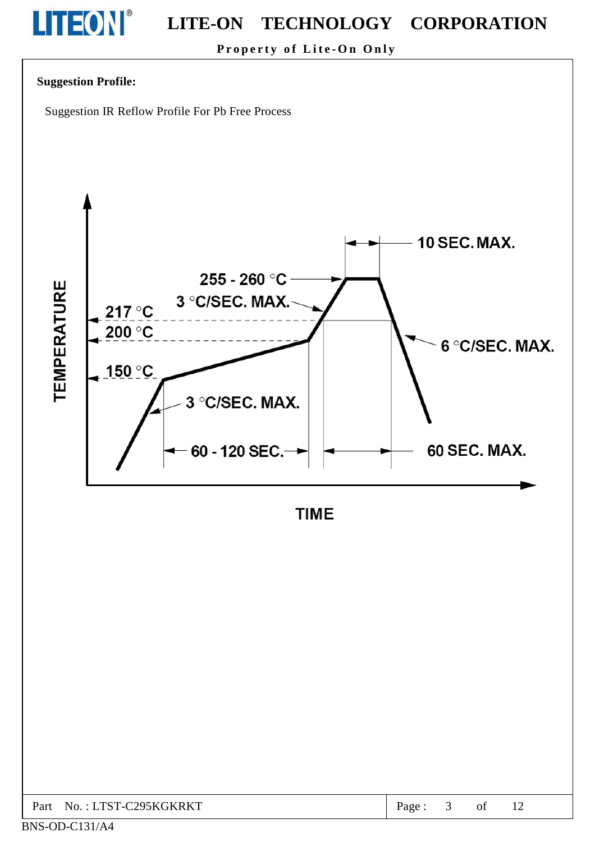

Property of Lite-On Only

#### **Suggestion Profile:**

Suggestion IR Reflow Profile For Pb Free Process



**TIME** 

| C295KGKRKT<br>Part<br>· I TST-0<br>No. | age |  | 0I | . . |  |
|----------------------------------------|-----|--|----|-----|--|
|----------------------------------------|-----|--|----|-----|--|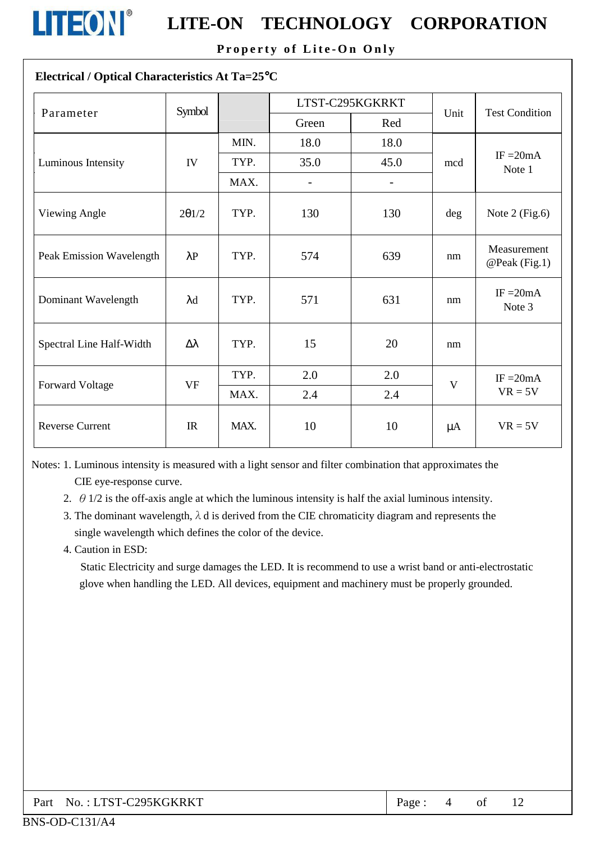

# **LITEON**<sup>®</sup> LITE-ON TECHNOLOGY CORPORATION

Property of Lite-On Only

#### Electrical / Optical Characteristics At Ta=25°C

| Parameter                | Symbol           |      |                | LTST-C295KGKRKT          | Unit    | <b>Test Condition</b>        |
|--------------------------|------------------|------|----------------|--------------------------|---------|------------------------------|
|                          |                  |      | Green          | Red                      |         |                              |
|                          |                  | MIN. | 18.0           | 18.0                     |         |                              |
| Luminous Intensity       | ${\rm IV}$       | TYP. | 35.0           | 45.0                     | mcd     | IF $=20mA$<br>Note 1         |
|                          |                  | MAX. | $\overline{a}$ | $\overline{\phantom{0}}$ |         |                              |
| Viewing Angle            | 201/2            | TYP. | 130            | 130                      | $\deg$  | Note $2$ (Fig.6)             |
| Peak Emission Wavelength | $\lambda$ P      | TYP. | 574            | 639                      | nm      | Measurement<br>@Peak (Fig.1) |
| Dominant Wavelength      | $\lambda$ d      | TYP. | 571            | 631                      | nm      | $IF = 20mA$<br>Note 3        |
| Spectral Line Half-Width | $\Delta \lambda$ | TYP. | 15             | 20                       | nm      |                              |
| Forward Voltage          | <b>VF</b>        | TYP. | 2.0            | 2.0                      | V       | $IF = 20mA$                  |
|                          |                  | MAX. | 2.4            | 2.4                      |         | $VR = 5V$                    |
| <b>Reverse Current</b>   | $_{\text{IR}}$   | MAX. | 10             | 10                       | $\mu A$ | $VR = 5V$                    |

Notes: 1. Luminous intensity is measured with a light sensor and filter combination that approximates the CIE eye-response curve.

- 2.  $\theta$  1/2 is the off-axis angle at which the luminous intensity is half the axial luminous intensity.
- 3. The dominant wavelength,  $\lambda$  d is derived from the CIE chromaticity diagram and represents the single wavelength which defines the color of the device.
- 4. Caution in ESD:

Static Electricity and surge damages the LED. It is recommend to use a wrist band or anti-electrostatic glove when handling the LED. All devices, equipment and machinery must be properly grounded.

| No.: LTST-C295KGKRKT<br>Part . | Page: |  |  |  |
|--------------------------------|-------|--|--|--|
|--------------------------------|-------|--|--|--|

#### BNS-OD-C131/A4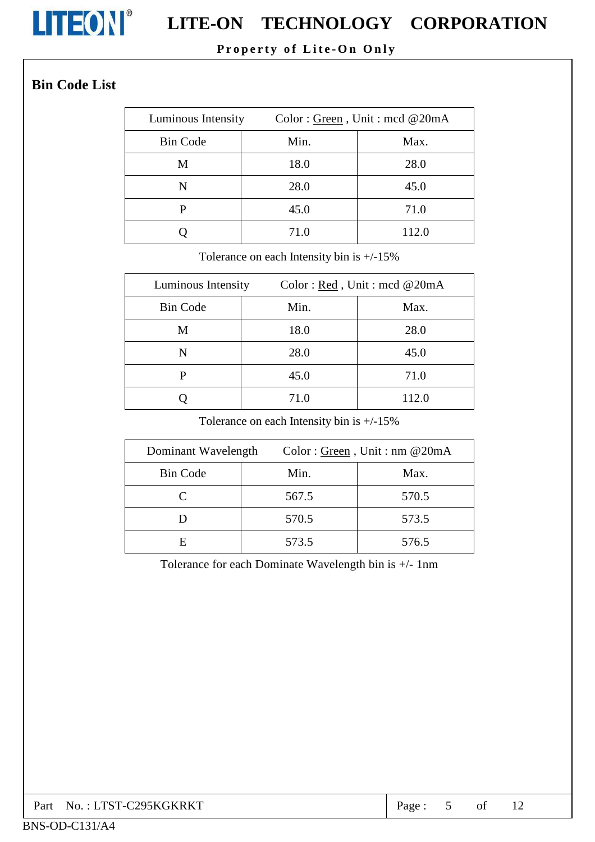

# **LITEON**<sup>®</sup> LITE-ON TECHNOLOGY CORPORATION

### Property of Lite-On Only

## **Bin Code List**

| Luminous Intensity | Color: Green, Unit: med @20mA |       |  |  |
|--------------------|-------------------------------|-------|--|--|
| <b>Bin Code</b>    | Min.                          | Max.  |  |  |
| M                  | 18.0                          | 28.0  |  |  |
| N                  | 28.0                          | 45.0  |  |  |
| P                  | 45.0                          | 71.0  |  |  |
|                    | 71.0                          | 112.0 |  |  |

Tolerance on each Intensity bin is  $+/-15\%$ 

| Luminous Intensity | Color: Red, Unit: mcd @20mA |       |  |
|--------------------|-----------------------------|-------|--|
| <b>Bin Code</b>    | Min.                        | Max.  |  |
| M                  | 18.0                        | 28.0  |  |
| N                  | 28.0                        | 45.0  |  |
| P                  | 45.0                        | 71.0  |  |
|                    | 71.0                        | 112.0 |  |

Tolerance on each Intensity bin is  $+/-15\%$ 

| Dominant Wavelength |       | Color: Green, Unit: nm @20mA |
|---------------------|-------|------------------------------|
| <b>Bin Code</b>     | Min.  | Max.                         |
|                     | 567.5 | 570.5                        |
|                     | 570.5 | 573.5                        |
| E                   | 573.5 | 576.5                        |

Tolerance for each Dominate Wavelength bin is +/- 1nm

| Part No.: LTST-C295KGKRKT | Page. |  | of |  |  |
|---------------------------|-------|--|----|--|--|
|---------------------------|-------|--|----|--|--|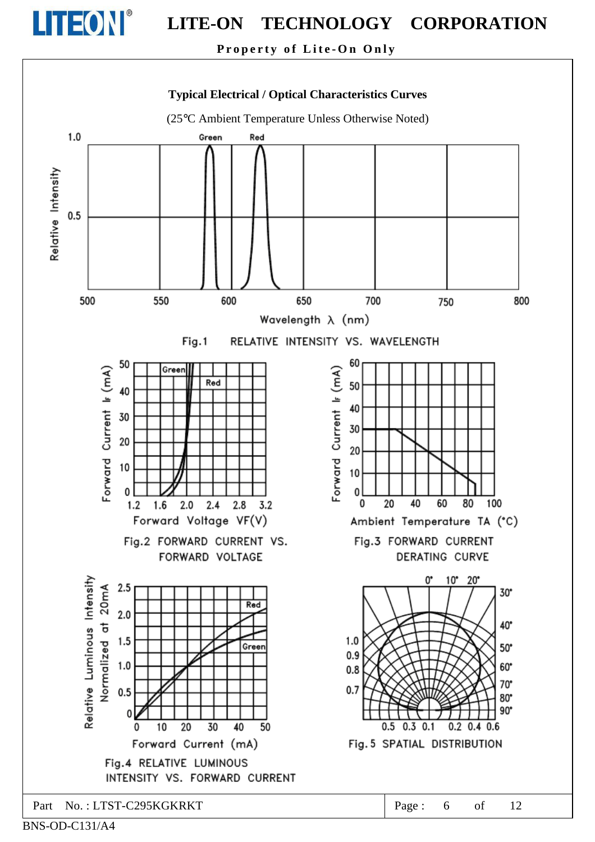

Property of Lite-On Only



BNS-OD-C131/A4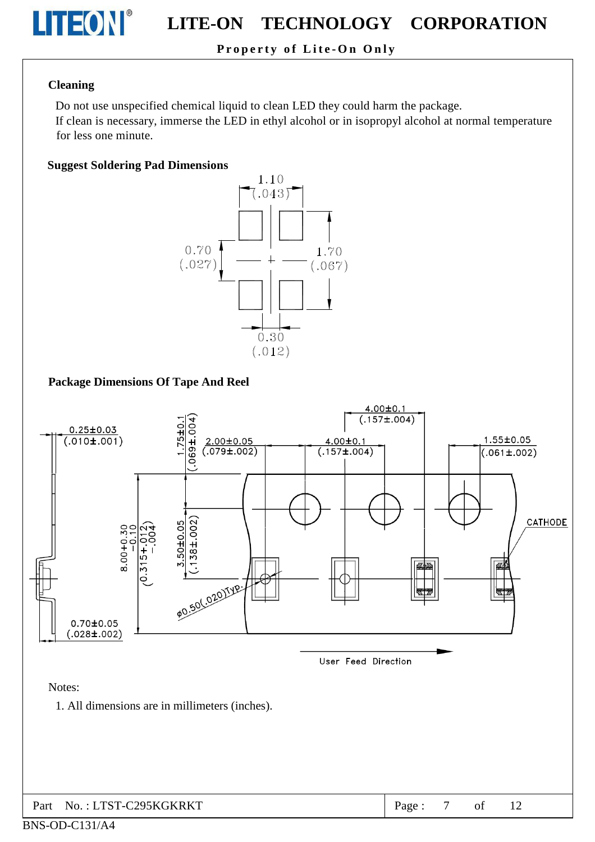

### Property of Lite-On Only

#### **Cleaning**

Do not use unspecified chemical liquid to clean LED they could harm the package.

If clean is necessary, immerse the LED in ethyl alcohol or in isopropyl alcohol at normal temperature for less one minute.

#### **Suggest Soldering Pad Dimensions**



#### **Package Dimensions Of Tape And Reel**

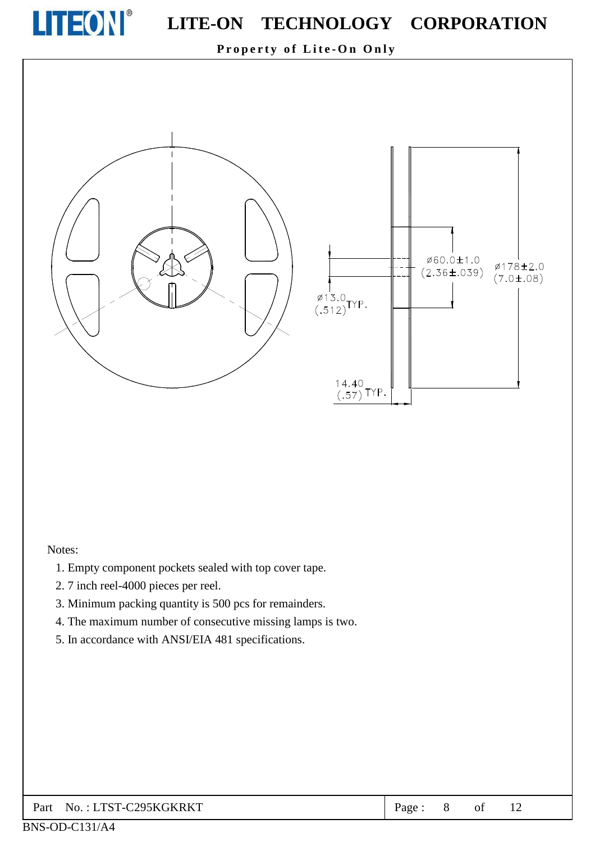

Property of Lite-On Only



#### Notes:

- 1. Empty component pockets sealed with top cover tape.
- 2.7 inch reel-4000 pieces per reel.
- 3. Minimum packing quantity is 500 pcs for remainders.
- 4. The maximum number of consecutive missing lamps is two.
- 5. In accordance with ANSI/EIA 481 specifications.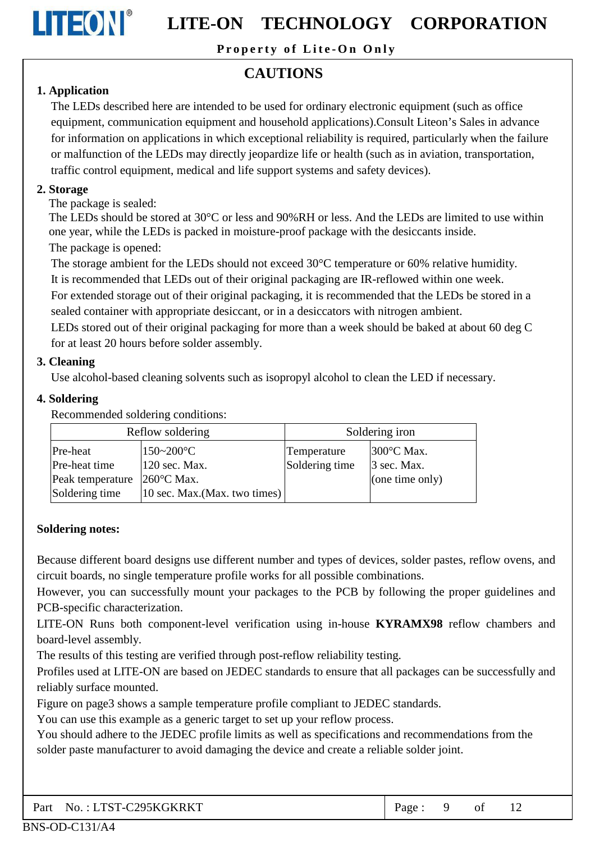

Property of Lite-On Only

## **CAUTIONS**

#### 1. Application

The LEDs described here are intended to be used for ordinary electronic equipment (such as office equipment, communication equipment and household applications). Consult Liteon's Sales in advance for information on applications in which exceptional reliability is required, particularly when the failure or malfunction of the LEDs may directly jeopardize life or health (such as in aviation, transportation, traffic control equipment, medical and life support systems and safety devices).

#### 2. Storage

The package is sealed:

The LEDs should be stored at 30°C or less and 90%RH or less. And the LEDs are limited to use within one year, while the LEDs is packed in moisture-proof package with the desiccants inside. The package is opened:

The storage ambient for the LEDs should not exceed 30°C temperature or 60% relative humidity.

It is recommended that LEDs out of their original packaging are IR-reflowed within one week.

For extended storage out of their original packaging, it is recommended that the LEDs be stored in a sealed container with appropriate desiccant, or in a desiccators with nitrogen ambient.

LEDs stored out of their original packaging for more than a week should be baked at about 60 deg C for at least 20 hours before solder assembly.

#### 3. Cleaning

Use alcohol-based cleaning solvents such as isopropyl alcohol to clean the LED if necessary.

#### 4. Soldering

Recommended soldering conditions:

| Reflow soldering |                                           | Soldering iron |                      |  |  |
|------------------|-------------------------------------------|----------------|----------------------|--|--|
| Pre-heat         | $150 - 200$ °C                            | Temperature    | $300^{\circ}$ C Max. |  |  |
| Pre-heat time    | 120 sec. Max.                             | Soldering time | 3 sec. Max.          |  |  |
| Peak temperature | $260^{\circ}$ C Max.                      |                | (one time only)      |  |  |
| Soldering time   | $ 10 \text{ sec. } Max.(Max. two times) $ |                |                      |  |  |

#### **Soldering notes:**

Because different board designs use different number and types of devices, solder pastes, reflow ovens, and circuit boards, no single temperature profile works for all possible combinations.

However, you can successfully mount your packages to the PCB by following the proper guidelines and PCB-specific characterization.

LITE-ON Runs both component-level verification using in-house KYRAMX98 reflow chambers and board-level assembly.

The results of this testing are verified through post-reflow reliability testing.

Profiles used at LITE-ON are based on JEDEC standards to ensure that all packages can be successfully and reliably surface mounted.

Figure on page3 shows a sample temperature profile compliant to JEDEC standards.

You can use this example as a generic target to set up your reflow process.

You should adhere to the JEDEC profile limits as well as specifications and recommendations from the solder paste manufacturer to avoid damaging the device and create a reliable solder joint.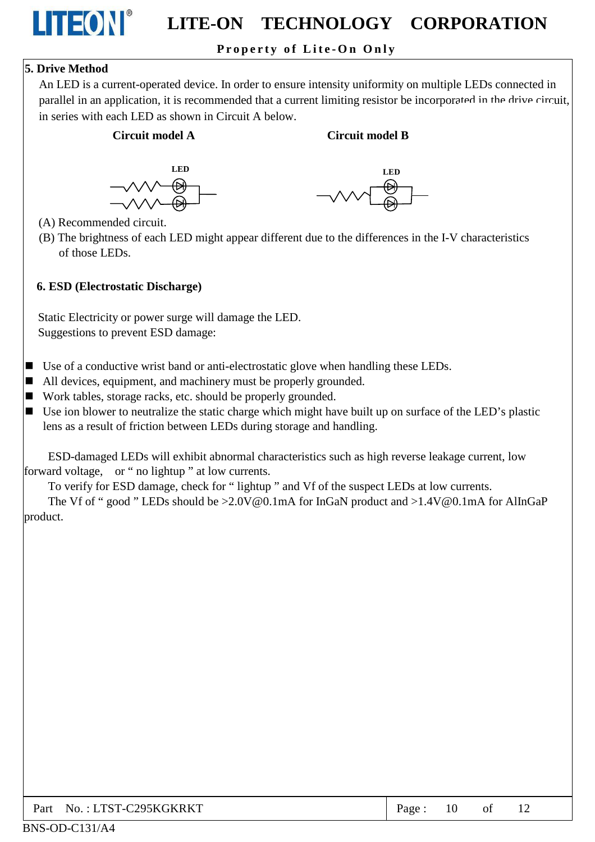### Property of Lite-On Only

#### 5. Drive Method

LITEON®

An LED is a current-operated device. In order to ensure intensity uniformity on multiple LEDs connected in parallel in an application, it is recommended that a current limiting resistor be incorporated in the drive circuit, in series with each LED as shown in Circuit A below.

#### Circuit model A

#### Circuit model R





- (A) Recommended circuit.
- (B) The brightness of each LED might appear different due to the differences in the I-V characteristics of those LEDs.

#### 6. ESD (Electrostatic Discharge)

Static Electricity or power surge will damage the LED. Suggestions to prevent ESD damage:

- $\blacksquare$  Use of a conductive wrist band or anti-electrostatic glove when handling these LEDs.
- $\blacksquare$  All devices, equipment, and machinery must be properly grounded.
- Work tables, storage racks, etc. should be properly grounded.
- $\blacksquare$  Use ion blower to neutralize the static charge which might have built up on surface of the LED's plastic lens as a result of friction between LEDs during storage and handling.

ESD-damaged LEDs will exhibit abnormal characteristics such as high reverse leakage current, low forward voltage, or "no lightup" at low currents.

To verify for ESD damage, check for "lightup" and Vf of the suspect LEDs at low currents.

The Vf of "good" LEDs should be >2.0V@0.1mA for InGaN product and >1.4V@0.1mA for AlInGaP product.

| No. : LTST-C295KGKRKT<br>Part | Page: | 10 | of |  |
|-------------------------------|-------|----|----|--|
|-------------------------------|-------|----|----|--|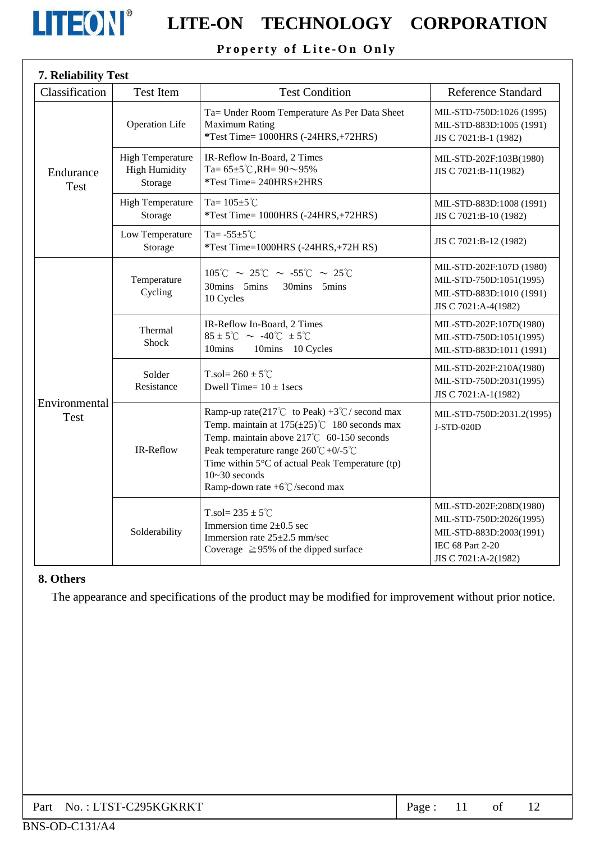

### Property of Lite-On Only

| 7. Reliability Test          |                                                            |                                                                                                                                                                                                                                                                                                                           |                                                                                                                           |
|------------------------------|------------------------------------------------------------|---------------------------------------------------------------------------------------------------------------------------------------------------------------------------------------------------------------------------------------------------------------------------------------------------------------------------|---------------------------------------------------------------------------------------------------------------------------|
| Classification               | Test Item                                                  | <b>Test Condition</b>                                                                                                                                                                                                                                                                                                     | <b>Reference Standard</b>                                                                                                 |
| Endurance<br><b>Test</b>     | <b>Operation Life</b>                                      | Ta= Under Room Temperature As Per Data Sheet<br><b>Maximum Rating</b><br>*Test Time= 1000HRS (-24HRS,+72HRS)                                                                                                                                                                                                              | MIL-STD-750D:1026 (1995)<br>MIL-STD-883D:1005 (1991)<br>JIS C 7021:B-1 (1982)                                             |
|                              | <b>High Temperature</b><br><b>High Humidity</b><br>Storage | IR-Reflow In-Board, 2 Times<br>Ta= $65\pm5^{\circ}$ C, RH= $90\sim95\%$<br>*Test Time= 240HRS±2HRS                                                                                                                                                                                                                        | MIL-STD-202F:103B(1980)<br>JIS C 7021:B-11(1982)                                                                          |
|                              | <b>High Temperature</b><br>Storage                         | Ta= $105 \pm 5^{\circ}$ C<br>*Test Time= 1000HRS (-24HRS,+72HRS)                                                                                                                                                                                                                                                          | MIL-STD-883D:1008 (1991)<br>JIS C 7021:B-10 (1982)                                                                        |
|                              | Low Temperature<br>Storage                                 | Ta= $-55\pm5^{\circ}$ C<br>*Test Time=1000HRS (-24HRS,+72H RS)                                                                                                                                                                                                                                                            | JIS C 7021:B-12 (1982)                                                                                                    |
| Environmental<br><b>Test</b> | Temperature<br>Cycling                                     | $105^{\circ}$ C ~ 25°C ~ -55°C ~ 25°C<br>30mins 5mins<br>30mins 5mins<br>10 Cycles                                                                                                                                                                                                                                        | MIL-STD-202F:107D (1980)<br>MIL-STD-750D:1051(1995)<br>MIL-STD-883D:1010 (1991)<br>JIS C 7021:A-4(1982)                   |
|                              | Thermal<br><b>Shock</b>                                    | IR-Reflow In-Board, 2 Times<br>$85 \pm 5^{\circ}$ C ~ -40 $^{\circ}$ C $\pm 5^{\circ}$ C<br>10mins<br>10mins 10 Cycles                                                                                                                                                                                                    | MIL-STD-202F:107D(1980)<br>MIL-STD-750D:1051(1995)<br>MIL-STD-883D:1011 (1991)                                            |
|                              | Solder<br>Resistance                                       | T.sol= $260 \pm 5^{\circ}$ C<br>Dwell Time= $10 \pm 1$ secs                                                                                                                                                                                                                                                               | MIL-STD-202F:210A(1980)<br>MIL-STD-750D:2031(1995)<br>JIS C 7021:A-1(1982)                                                |
|                              | IR-Reflow                                                  | Ramp-up rate(217°C to Peak) +3°C/ second max<br>Temp. maintain at $175(\pm 25)$ °C 180 seconds max<br>Temp. maintain above 217°C 60-150 seconds<br>Peak temperature range $260^{\circ}C + 0/5^{\circ}C$<br>Time within 5°C of actual Peak Temperature (tp)<br>$10-30$ seconds<br>Ramp-down rate $+6^{\circ}$ C/second max | MIL-STD-750D:2031.2(1995)<br>J-STD-020D                                                                                   |
|                              | Solderability                                              | T.sol= $235 \pm 5^{\circ}$ C<br>Immersion time $2\pm 0.5$ sec<br>Immersion rate 25±2.5 mm/sec<br>Coverage $\geq$ 95% of the dipped surface                                                                                                                                                                                | MIL-STD-202F:208D(1980)<br>MIL-STD-750D:2026(1995)<br>MIL-STD-883D:2003(1991)<br>IEC 68 Part 2-20<br>JIS C 7021:A-2(1982) |

#### 8. Others

The appearance and specifications of the product may be modified for improvement without prior notice.

| Part No.: LTST-C295KGKRKT | Page: |  |  |  |  |
|---------------------------|-------|--|--|--|--|
|---------------------------|-------|--|--|--|--|